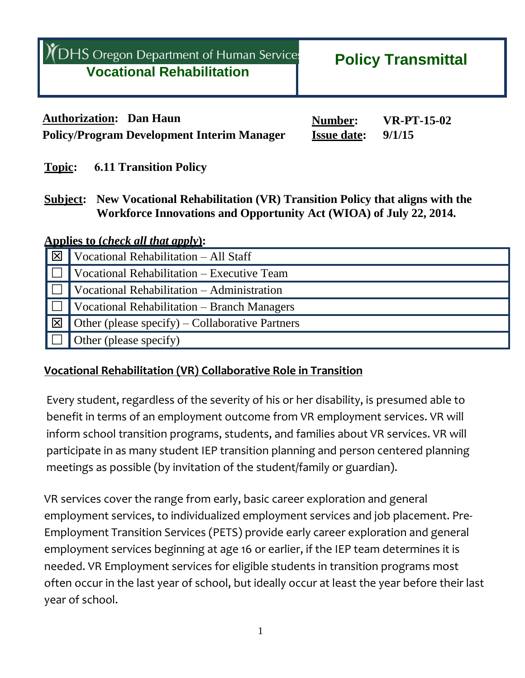| YOHS Oregon Department of Human Services<br><b>Vocational Rehabilitation</b> | <b>Policy Transmittal</b> |
|------------------------------------------------------------------------------|---------------------------|
|                                                                              |                           |

**Authorization: Dan Haun Number:** *VR-PT-15-02* **Policy/Program Development Interim Manager Issue date: 9/1/15**

**Topic: 6.11 Transition Policy**

**Subject: New Vocational Rehabilitation (VR) Transition Policy that aligns with the Workforce Innovations and Opportunity Act (WIOA) of July 22, 2014.**

**Applies to (***check all that apply***):**

| $\overline{\mathbb{X}}$ | Vocational Rehabilitation - All Staff           |
|-------------------------|-------------------------------------------------|
|                         | Vocational Rehabilitation - Executive Team      |
|                         | Vocational Rehabilitation - Administration      |
| $\mathbf{L}$            | Vocational Rehabilitation - Branch Managers     |
| $\overline{\mathbb{Z}}$ | Other (please specify) – Collaborative Partners |
|                         | Other (please specify)                          |

### **Vocational Rehabilitation (VR) Collaborative Role in Transition**

Every student, regardless of the severity of his or her disability, is presumed able to benefit in terms of an employment outcome from VR employment services. VR will inform school transition programs, students, and families about VR services. VR will participate in as many student IEP transition planning and person centered planning meetings as possible (by invitation of the student/family or guardian).

VR services cover the range from early, basic career exploration and general employment services, to individualized employment services and job placement. Pre-Employment Transition Services (PETS) provide early career exploration and general employment services beginning at age 16 or earlier, if the IEP team determines it is needed. VR Employment services for eligible students in transition programs most often occur in the last year of school, but ideally occur at least the year before their last year of school.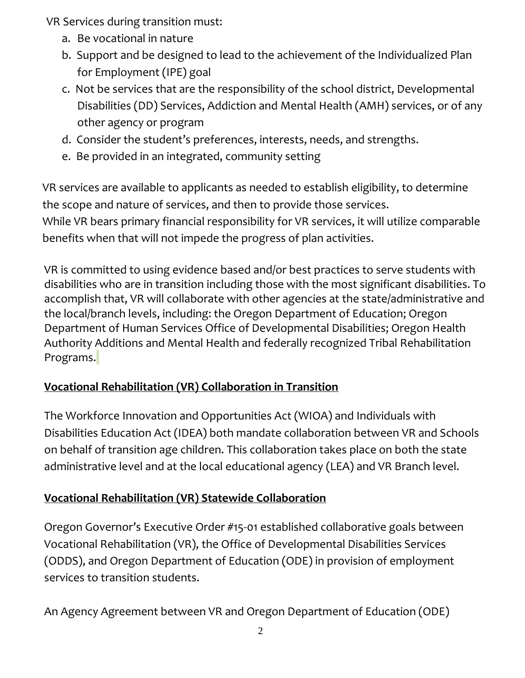VR Services during transition must:

- a. Be vocational in nature
- b. Support and be designed to lead to the achievement of the Individualized Plan for Employment (IPE) goal
- c. Not be services that are the responsibility of the school district, Developmental Disabilities (DD) Services, Addiction and Mental Health (AMH) services, or of any other agency or program
- d. Consider the student's preferences, interests, needs, and strengths.
- e. Be provided in an integrated, community setting

VR services are available to applicants as needed to establish eligibility, to determine the scope and nature of services, and then to provide those services. While VR bears primary financial responsibility for VR services, it will utilize comparable benefits when that will not impede the progress of plan activities.

VR is committed to using evidence based and/or best practices to serve students with disabilities who are in transition including those with the most significant disabilities. To accomplish that, VR will collaborate with other agencies at the state/administrative and the local/branch levels, including: the Oregon Department of Education; Oregon Department of Human Services Office of Developmental Disabilities; Oregon Health Authority Additions and Mental Health and federally recognized Tribal Rehabilitation Programs.

## **Vocational Rehabilitation (VR) Collaboration in Transition**

The Workforce Innovation and Opportunities Act (WIOA) and Individuals with Disabilities Education Act (IDEA) both mandate collaboration between VR and Schools on behalf of transition age children. This collaboration takes place on both the state administrative level and at the local educational agency (LEA) and VR Branch level.

# **Vocational Rehabilitation (VR) Statewide Collaboration**

Oregon Governor's Executive Order #15-01 established collaborative goals between Vocational Rehabilitation (VR), the Office of Developmental Disabilities Services (ODDS), and Oregon Department of Education (ODE) in provision of employment services to transition students.

An Agency Agreement between VR and Oregon Department of Education (ODE)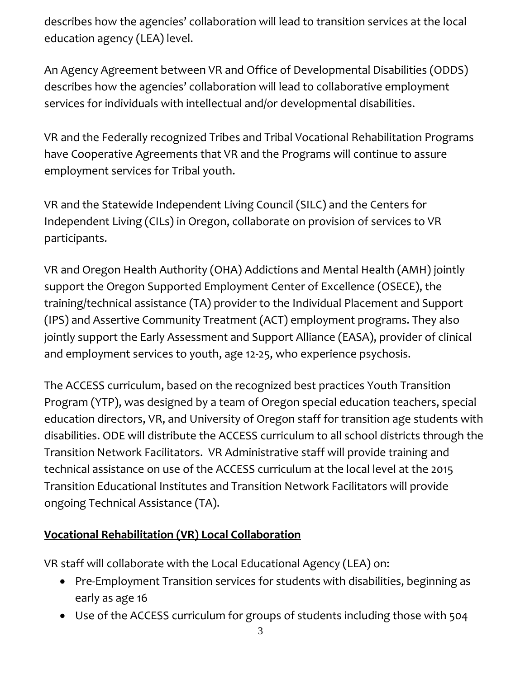describes how the agencies' collaboration will lead to transition services at the local education agency (LEA) level.

An Agency Agreement between VR and Office of Developmental Disabilities (ODDS) describes how the agencies' collaboration will lead to collaborative employment services for individuals with intellectual and/or developmental disabilities.

VR and the Federally recognized Tribes and Tribal Vocational Rehabilitation Programs have Cooperative Agreements that VR and the Programs will continue to assure employment services for Tribal youth.

VR and the Statewide Independent Living Council (SILC) and the Centers for Independent Living (CILs) in Oregon, collaborate on provision of services to VR participants.

VR and Oregon Health Authority (OHA) Addictions and Mental Health (AMH) jointly support the Oregon Supported Employment Center of Excellence (OSECE), the training/technical assistance (TA) provider to the Individual Placement and Support (IPS) and Assertive Community Treatment (ACT) employment programs. They also jointly support the Early Assessment and Support Alliance (EASA), provider of clinical and employment services to youth, age 12-25, who experience psychosis.

The ACCESS curriculum, based on the recognized best practices Youth Transition Program (YTP), was designed by a team of Oregon special education teachers, special education directors, VR, and University of Oregon staff for transition age students with disabilities. ODE will distribute the ACCESS curriculum to all school districts through the Transition Network Facilitators. VR Administrative staff will provide training and technical assistance on use of the ACCESS curriculum at the local level at the 2015 Transition Educational Institutes and Transition Network Facilitators will provide ongoing Technical Assistance (TA).

# **Vocational Rehabilitation (VR) Local Collaboration**

VR staff will collaborate with the Local Educational Agency (LEA) on:

- Pre-Employment Transition services for students with disabilities, beginning as early as age 16
- Use of the ACCESS curriculum for groups of students including those with 504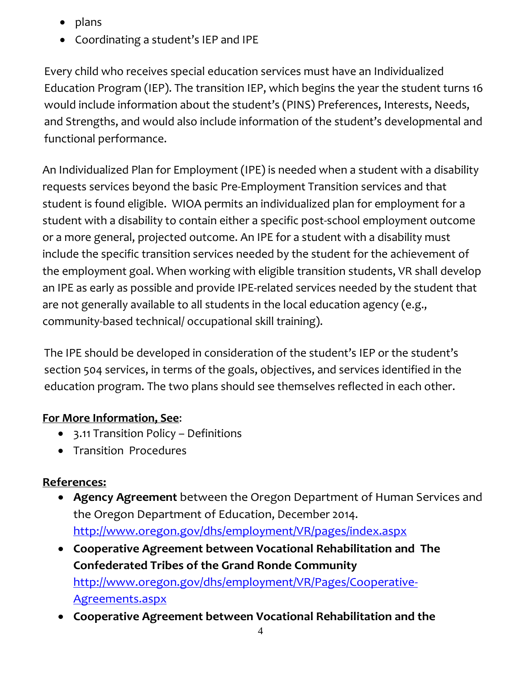- plans
- Coordinating a student's IEP and IPE

Every child who receives special education services must have an Individualized Education Program (IEP). The transition IEP, which begins the year the student turns 16 would include information about the student's (PINS) Preferences, Interests, Needs, and Strengths, and would also include information of the student's developmental and functional performance.

An Individualized Plan for Employment (IPE) is needed when a student with a disability requests services beyond the basic Pre-Employment Transition services and that student is found eligible. WIOA permits an individualized plan for employment for a student with a disability to contain either a specific post-school employment outcome or a more general, projected outcome. An IPE for a student with a disability must include the specific transition services needed by the student for the achievement of the employment goal. When working with eligible transition students, VR shall develop an IPE as early as possible and provide IPE-related services needed by the student that are not generally available to all students in the local education agency (e.g., community-based technical/ occupational skill training).

The IPE should be developed in consideration of the student's IEP or the student's section 504 services, in terms of the goals, objectives, and services identified in the education program. The two plans should see themselves reflected in each other.

### **For More Information, See**:

- 3.11 Transition Policy Definitions
- Transition Procedures

## **References:**

- **Agency Agreement** between the Oregon Department of Human Services and the Oregon Department of Education, December 2014. <http://www.oregon.gov/dhs/employment/VR/pages/index.aspx>
- **Cooperative Agreement between Vocational Rehabilitation and The Confederated Tribes of the Grand Ronde Community** [http://www.oregon.gov/dhs/employment/VR/Pages/Cooperative-](http://www.oregon.gov/dhs/employment/VR/Pages/Cooperative-Agreements.aspx)[Agreements.aspx](http://www.oregon.gov/dhs/employment/VR/Pages/Cooperative-Agreements.aspx)
- **Cooperative Agreement between Vocational Rehabilitation and the**